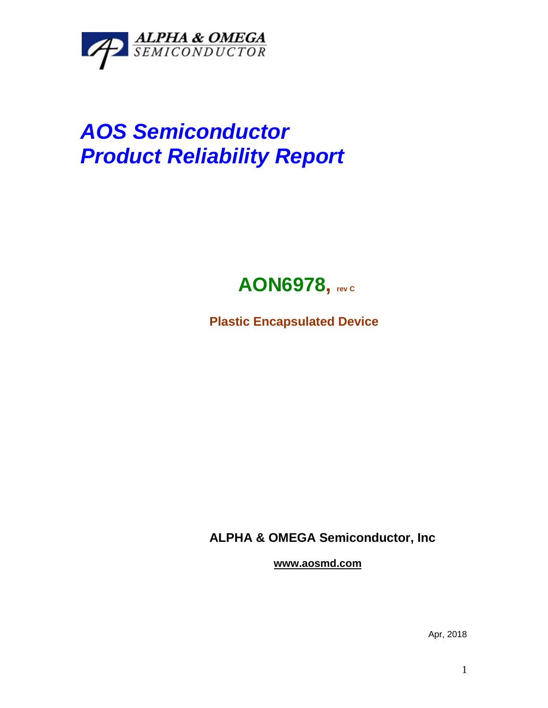

## *AOS Semiconductor Product Reliability Report*



**Plastic Encapsulated Device**

**ALPHA & OMEGA Semiconductor, Inc**

**www.aosmd.com**

Apr, 2018